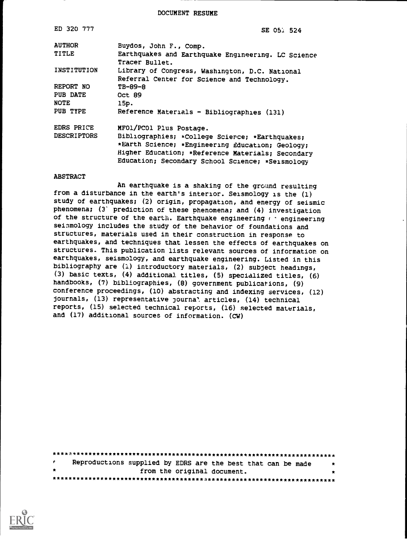DOCUMENT RESUME

| ED 320 777         | SE 05: 524                                                                                                                                                                                                   |
|--------------------|--------------------------------------------------------------------------------------------------------------------------------------------------------------------------------------------------------------|
| <b>AUTHOR</b>      | Buydos, John F., Comp.                                                                                                                                                                                       |
| TITLE              | Earthquakes and Earthquake Engineering. LC Science<br>Tracer Bullet.                                                                                                                                         |
| INSTITUTION        | Library of Congress, Washington, D.C. National<br>Referral Center for Science and Technology.                                                                                                                |
| REPORT NO          | TB-89-8                                                                                                                                                                                                      |
| PUB DATE<br>NOTE   | Oct 89<br>15p.                                                                                                                                                                                               |
| PUB TYPE           | Reference Materials - Bibliographies (131)                                                                                                                                                                   |
| EDRS PRICE         | MFO1/PCO1 Plus Postage.                                                                                                                                                                                      |
| <b>DESCRIPTORS</b> | Bibliographies; *College Scierce; *Earthquakes;<br>*Earth Science; *Engineering £ducation; Geology;<br>Higher Education; *Reference Materials; Secondary<br>Education; Secondary School Science; *Seismology |

#### ABSTRACT

An earthquake is a shaking of the ground resulting from a disturbance in the earth's interior. Seismology is the (1) study of earthquakes; (2) origin, propagation, and energy of seismic phenomena; (3' prediction of these phenomena; and (4) investigation of the structure of the earth. Earthquake engineering  $f \circ$  engineering seismology includes the study of the behavior of foundations and structures, materials used in their construction in response to earthquakes, and techniques that lessen the effects of earthquakes on structures. This publication lists relevant sources of information on earthquakes, seismology, and earthquake engineering. Listed in this bibliography are (1) introductory materials, (2) subject headings, (3) basic texts, (4) additional titles, (5) specialized titles, (6) handbooks, (7) bibliographies, (8) government publications, (9) conference proceedings, (10) abstracting and indexing services, (12) journals, (13) representative journa'. articles, (14) technical reports, (15) selected technical reports, (16) selected materials, and (17) additional sources of information. (CW)

|         | Reproductions supplied by EDRS are the best that can be made |  |                             |  | $\bullet$ |
|---------|--------------------------------------------------------------|--|-----------------------------|--|-----------|
| $\star$ |                                                              |  | from the original document. |  |           |
|         |                                                              |  |                             |  |           |

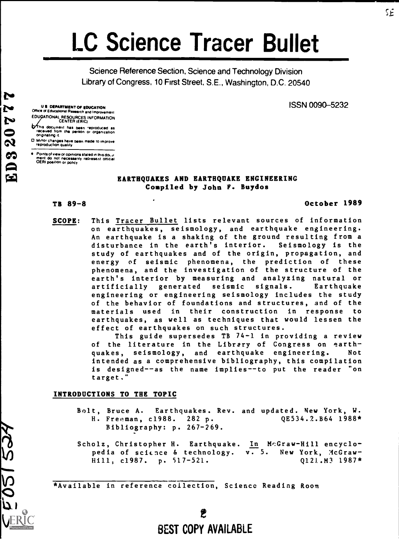# LC Science Tracer Bullet

Science Reference Section, Science and Technology Division Library of Congress, 10 First Street, S.E., Washington, D.C. 20540

ISSN 0090-5232

U S DEPARTMENT OP EDUCATION Office of Educational Research and improvement EDUGATIONAL RESOURCES INFORMATION<br>CENTER (ERIC)

- This document has been reproduced as<br>received from the person or organization<br>originating it
- O Minor changes have been made to improve reproduction Quality

Points of view or opinions stated in this douu-<br>ment ido inot inecessarily represent lofficial<br>OERI position or policy

## EARTHQUAKES AND EARTHQUAKE ENGINEERING Compiled by John F. Buydos

# TB 89-8 October 1989

SCOPE: This Tracer Bullet lists relevant sources of information on earthquakes, seismology, and earthquake engineering. An earthquake is a shaking of the ground resulting from a disturbance in the earth's interior. Seismology is the study of earthquakes and of the origin, propagation, and energy of seismic phenomena, the prediction of these phenomena, and the investigation of the structure of the earth's interior by measuring and analyzing natural or artificially generated seismic signals. Earthquake engineering or engineering seismology includes the study of the behavior of foundations and structures, and of the materials used in their construction in response to earthquakes, as well as techniques that would lessen the effect of earthquakes on such structures.

> This guide supersedes TB 74-1 in providing a review of the literature in the Library of Congress on earthquakes, seismology, and earthquake engineering. Not intended as a comprehensive bibliography, this compilation is designed--as the name implies--to put the reader "on target.

#### INTRODUCTIONS TO THE TOPIC

- Bolt, Bruce A. Earthquakes. Rev. and updated. New York, W.<br>H. Freeman, c1988. 282 p. (QE534.2.B64 1988\*) H. Freeman, c1988. 282 p. QE534.2.B64 1988\* Bibliography: p. 267-269.
- Scholz, Christopher H. Earthquake. In McGraw-Hill encyclo-<br>pedia of science & technology. v. 5. New York, McGrawpedia of science  $\delta$  technology. Hill, c1987. p. 517-521. Q121.M3 1987\*

\*Available in reference collection, Science Reading Room

L

v)

# VERIC<br>VERIC BEST COPY AVAILABLE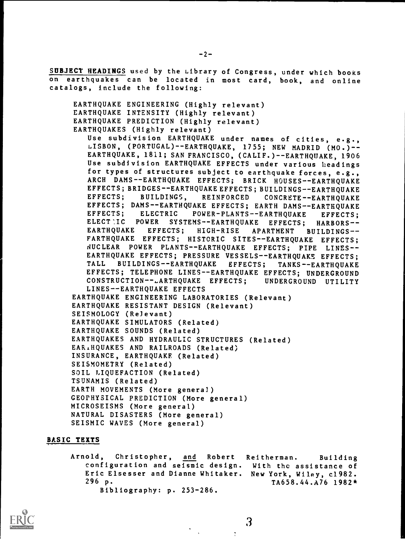SUBJECT HEADINGS used by the Library of Congress, under which books on earthquakes can be located in most card, book, and online catalogs, include the following:

EARTHQUAKE ENGINEERING (Highly relevant) EARTHQUAKE INTENSITY (Highly relevant) EARTHQUAKE PREDICTION (Highly relevant) EARTHQUAKES (Highly relevant)

Use subdivision EARTHQUAKE under names of cities, e.g., LISBON, (PORTUGAL)--EARTHQUAKE, 1755; NEW MADRID (M0.)-- EARTHQUAKE, 1811; SAN FRANCISCO, (CALIF.)--EARTHQUAKE, 1906 Use subdivision EARTHQUAKE EFFECTS under various headings for types of structures subject to earthquake forces, e.g., ARCH DAMS--EARTHQUAKE EFFECTS; BRICK HOUSES--EARTHQUAKE EFFECTS; BRIDGES--EARTHQUAKE EFFECTS; BUILDINGS--EARTHQUAKE<br>EFFECTS; BUILDINGS, REINFORCED CONCRETE--EARTHOUAKE REINFORCED CONCRETE--EARTHQUAKE EFFECTS; DAMS--EARTHQUAKE EFFECTS; EARTH DAMS--EARTHQUAKE<br>EFFECTS: ELECTRIC POWER-PLANTS--EARTHOUAKE FFFECTS: ELECTRIC POWER-PLANTS--EARTHQUAKE EFFECTS; ELECTIC POWER SYSTEMS--EARTHQUAKE EFFECTS; HARBORS--<br>EARTHQUAKE EFFECTS; HIGH-RISE APARTMENT BUILDINGS--EARTHQUAKE EFFECTS; HIGH-RISE APARTMENT BUILDINGS-EARTHQUAKE EFFECTS; HISTORIC SITES--EARTHQUAKE EFFECTS; NUCLEAR POWER PLANTS--EARTHQUAKE EFFECTS; PIPE LINES--EARTHQUAKE EFFECTS; PRESSURE VESSELS--EARTHQUAKE EFFECTS;<br>TALL BUILDINGS--EARTHOUAKE EFFECTS: TANKS--EARTHOUAKE BUILDINGS--EARTHQUAKE EFFECTS; TANKS--EARTHQUAKE EFFECTS; TELEPHONE LINES--EARTHQUAKE EFFECTS; UNDERGROUND<br>CONSTRUCTION--LARTHQUAKE EFFECTS; UNDERGROUND UTILITY CONSTRUCTION--LARTHQUAKE EFFECTS; LINES--EARTHQUAKE EFFECTS EARTHQUAKE ENGINEERING LABORATORIES (Relevant) EARTHQUAKE RESISTANT DESIGN (Relevant)

SEISMOLOGY (Relevant) EARTHQUAKE SIMULATORS (Related) EARTHQUAKE SOUNDS (Related) EARTHQUAKES AND HYDRAULIC STRUCTURES (Related) EAR.HQUAKES AND RAILROADS (Related) INSURANCE, EARTHQUAKE (Related) SEISMOMETRY (Related) SOIL LIQUEFACTION (Related) TSUNAMIS (Related) EARTH MOVEMENTS (More genera]) GEOPHYSICAL PREDICTION (More general) MICROSEISMS (More general) NATURAL DISASTERS (More general) SEISMIC WAVES (More general)

# BASIC TEXTS

Arnold, Christopher, and Robert Reitherman. Building configuration and seismic design. With the assistance of Eric Elsesser and Dianne Whitaker. New York, Wiley, c1982.  $TA658.44.A76 1982*$ Bibliography: p. 253-286.



3

 $\mathcal{I}$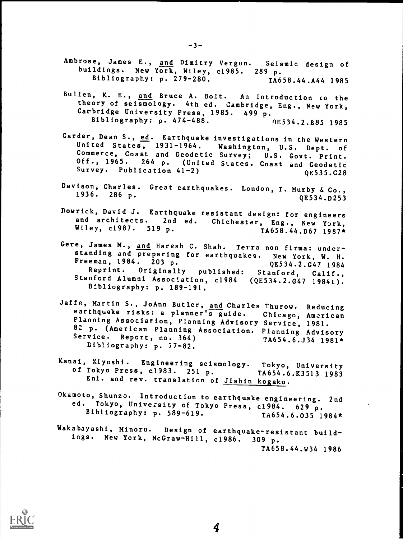- Ambrose, James E., and Dimitry Vergun. Seismic design of buildings. New York, Wiley, c1985. 289 p.<br>Bibliography: p. 279-280. TA658.44.A44 1985 Bibliography: p. 279-280.
- Bullen, K. E., and Bruce A. Bolt. An introduction co the theory of seismology. 4th ed. Cambridge, Eng., New York, Carbridge University Press, 1985. 499 p.<br>Bibliography: p. 474-488. 0E534.2.B85 1985 Bibliography: p. 474-488.
- Carder, Dean S., ed. Earthquake investigations in the Western<br>United States, 1931-1964. Washington, U.S. Dept. of Commerce, Coast and Geodetic Survey; U.S. Govt. Print. Off., 1965. 264 p. (United States. Coast and Geodetic<br>Survey. Publication 41-2) 0E535.C28 Survey. Publication  $41-2$ )
- Davison, Charles. Great earthquakes. London, T. Murby & Co.,<br>1936 296 -1936. 286 p.  $QE534. D253$
- Dowrick, David J. Earthquake resistant design: for engineers<br>and architects. 2nd ed. Chichester, Eng., New York,<br>Wiley, c1987. 519 p. TA658.44.D67 1987\*
- Gere, James M., and Haresh C. Shah. Terra non firma: understanding and preparing for earthquakes. New York, W. H.<br>Freeman, 1984. 203 p. (E534.2.647 1984) Reprint. Originally published: Stanford, Calif., Stanford Alumni Association, c1984 (QE534.2.G47 1984t). Bibliography: p. 189-191.
- Jaffe, Martin S., JoAnn Butler, and Charles Thurow. Reducing<br>earthquake risks: a planner's guide. Chicago, American<br>Planning Association, Planning Advisory Service, 1981. Planning Association, Planning Advisory Service, 1981.<br>82 p. (American Planning Association. Planning Advisory<br>Service - Person Service. Report, no. 364)<br>
Ribliography. 57.99.<br>
TA654.6.J34 1981\* Bibliography: p. i7-82.
- Kanai, Kiyoshi. Engineering seismology. Tokyo, University<br>of Tokyo Press, c1983. 251 p. TA654.6.K3513 1983<br>Enl. and rev. translation of <u>Jishin kogaku</u>.
- Okamoto, Shunzo. Introduction to earthquake engineering. 2nd<br>ed. Tokyo, University of Tokyo Press, c1984. 629 p.<br>Bibliography: p. 589-619. TA654.6.035 1984\*
- Wakabayashi, Minoru. Design of earthquake-resistant build-<br>ings. New York, McGraw-Hill, c1986. 309 p. TA658.44.W34 1986



4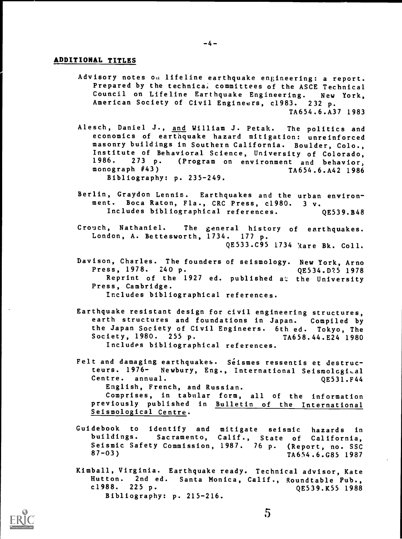# ADDITIONAL TITLES

- Advisory notes ou lifeline earthquake engineering: a report. Prepared by the technical committees of the ASCE Technical Council on Lifeline Earthquake Engineering. New York, American Society of Civil Engineers, c1983. 232 p. TA654.6.A37 1983
- Alesch, Daniel J., and William J. Petak. The politics and economics of earthquake hazard mitigation: unreinforced masonry buildings in Southern California. Boulder, Colo., Institute of Behavioral Science, University of Colorado,<br>1986. 273 p. (Program on environment and behavior. 1986. 273 p. (Program on environment and behavior, TA654.6.A42 1986 Bibliography: p. 235-249.
- Berlin, Graydon Lennis. Earthquakes and the urban environment. Boca Raton, Fla., CRC Press, c1980. 3 v. Includes bibliographical references. QE539.B48
- Crouch, Nathaniel. The general history of earthquakes. London, A. Bettesworth, 1734. 177 p. QE533.C95 1734 'Aare Bk. Coll.
- Davison, Charles. The founders of seismology. New York, Arno<br>Press, 1978. 240 p. (2534.D?5 1978) Press, 1978. 240 p. Reprint of the 1927 ed. published at the University Press, Cambridge. Includes bibliographical references.
	-
- Earthquake resistant design for civil engineering structures, earth structures and foundations in Japan. Compiled by the Japan Society of Civil Engineers. 6th ed. Tokyo, The Society, 1980. 255 p. Includes bibliographical references.
- Felt and damaging earthquakes. Séismes ressentis et destructeurs. 1976- Newbury, Eng., International Seismological Centre. annual. QE531.F44 English, French, and Russian. Comprises, in tabular form, all of the information previously published in Bulletin of the International Seismological Centre.
- Guidebook to identify and mitigate seismic hazards in<br>buildings. Sacramento, Calif., State of California Sacramento, Calif., State of California, Seismic Safety Commission, 1987. 76 p. (Report, no. SSC<br>87-03)<br>TA654 6 CR5 1987 87-03) TA654.6.G85 1987
- Kimball, Virginia. Earthquake ready. Technical advisor, Kate Hutton. 2nd ed. Santa Monica, Calif., Roundtable Pub.,<br>c1988. 225 p. 65539.K55 1988 QE539.K55 1988 Bibliography: p. 215-216.

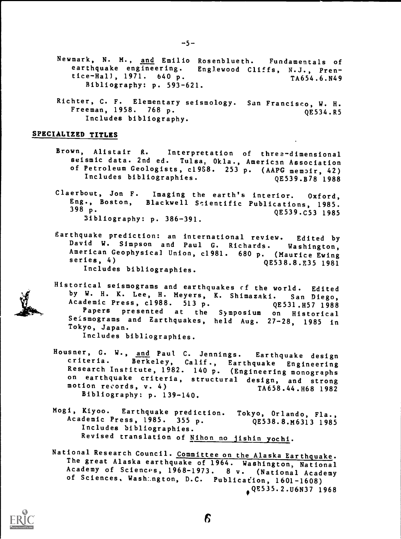- Newmark, N. M., and Emilio Rosenblueth. Fundamentals of earthquake engineering. Englewood Cliffs, N.J., Pren-<br>tice-Hall, 1971. 640 p. 7A654.6.N49  $tice-Hall, 1971.640 p.$ Bibliography: p. 593-621.
- Richter, C. F. Elementary seismology. San Francisco, W. H. Freeman, 1958. 768 p. Includes bibliography. QE534.R5

## SPECIALIZED TITLES

- Brown, Alistair R. Interpretation of three-dimensional seismic data. 2nd ed. Tulsa, Okla., American Association of Petroleum Geologists, c19S8. 253 p. (AAPG memoir, 42) Includes bibliographies.
- Claerbout, Jon F. Imaging the earth's interior. Oxford, Eng., Boston, Blackwell Scientific Publications, 1985. 398 p. QE539.C53 1985 3ibliography: p. 386-391.
- Earthquake prediction: an international review. Edited by American Geophysical Union, c1981. 680 p. (Maurice Ewing series, 4)<br>gE538.8.E35 1981 Includes bibliographies.
- Historical seismograms and earthquakes cf the world. Edited by W. H. K. Lee, H. Meyers, K. Shimazaki. San Diego,<br>Academic Press, c1988. 513 p. (2531.H57 1988) Academic Press, c1988. 513 p. QE531.H57 1988<br>Papers presented at the Symposium on Historical Seismograms and Earthquakes, held Aug. 27-28, 1985 in Tokyo, Japan.

Includes bibliographies.

- Housner, G. W., and Paul C. Jennings. Earthquake design criteria. Berkeley, Calif., Earthquake Engineering Research Institute, 1982. 140 p. (Engineering monographs on earthquake criteria, structural design, and strong motion records, v. 4) TA658.44.H68 1982 Bibliography: p. 139-140.
- Mogi, Kiyoo. Earthquake prediction. Tokyo, Orlando, Fla.,<br>Academic Press, 1985. 355 p. (QE538.8.M6313 1985 Academic Press, 1985. 355 p. Includes bibliographies. Revised translation of Nihon no jishin yochi.
- National Research Council. Committee on the Alaska Earthquake.<br>The great Alaska earthquake of 1964. Washington, National Academy of Sciences, 1968-1973. 8 v. (National Academy of Sciences, Washington, D.C. Publication, 1601-1608) ,QE535.2.U6N37 1968

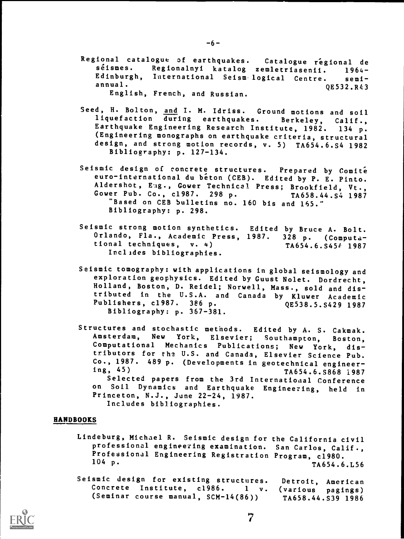- Regional catalogue of earthquakes. Catalogue régional de<br>séismes. Regionalnyi katalog zemletriasenii. 1964-Regionalnyi katalog zemletriasenii. 1964-Edinburgh, International Seism logical Centre. semi-<br>annual. 0E532.R43 English, French, and Russian.
- Seed, H. Bolton, and I. M. Idriss. Ground motions and soil<br>liquefaction during earthquakes. Berkeley, Calif., liquefaction during earthquakes. Berkeley, Calif.,<br>Earthquake Engineering Research Institute, 1982. 134 p. Earthquake Engineering Research Institute, 1982. (Engineering monographs on earthquake criteria, structural design, and strong motion records, v. 5) TA654.6.S4 1982 Bibliography: p. 127-134.
- Seismic design of concrete structures. Prepared by Comite euro-international du beton (CEB). Edited by P. E. Pinto. Aldershot, Eng., Gower Technical Press; Brookfield, Vt., Gower Pub. Co., c1987. 298 p. TA658.44.S4 1987 Gower Pub. Co., c1987. 298 p. "Based on CEB bulletins no. 160 bis and 165." Bibliography: p. 298.
- Seismic strong motion synthetics. Edited by Bruce A. Bolt. Orlando, Fla., Academic Press, 1987.  $328$  p. (Computa-<br>tional techniques, v. 4) TA654.6.S454 1987 Includes bibliographies.
- Seismic tomography: with applications in global seismology and exploration geophysics. Edited by Guust Nolet. Dordrecht, Holland, Boston, D. Reidel; Norwell, Mass., sold and distributed in the U.S.A. and Canada by Kluwer Academic Publishers, c1987. 386 p. Bibliography: p. 367-381.
- Structures and stochastic methods. Edited by A. S. Cakmak.<br>Amsterdam, New York, Elsevier; Southampton, Boston, Amsterdam, New York, Elsevier; Southampton, Computational Mechanics Publications; New York, distributors for the U.S. and Canada, Elsevier Science Pub. Co., 1987.  $489$  p. (Developments in geotechnical engineer-<br>ing, 45) TA654.6 S868 1987 ing, 45) TA654.6.S868 1987 Selected papers from the 3rd International Conference on Soil Dynamics and Earthquake Engineering, held in Princeton, N.J., June 22-24, 1987. Includes bibliographies.

#### HANDBOOKS

- Lindeburg, Michael R. Seismic design for the California civil professional engineering examination. San Carlos, Calif., Professional Engineering Registration Program, c1980.  $104$  p. TA654.6.L56
- Seismic design for existing structures. Detroit, American Concrete Institute, c1986. <sup>1</sup> v. (various pagings) (Seminar course manual, SCM-14(86)) TA658.44.S39 1986



 $\overline{7}$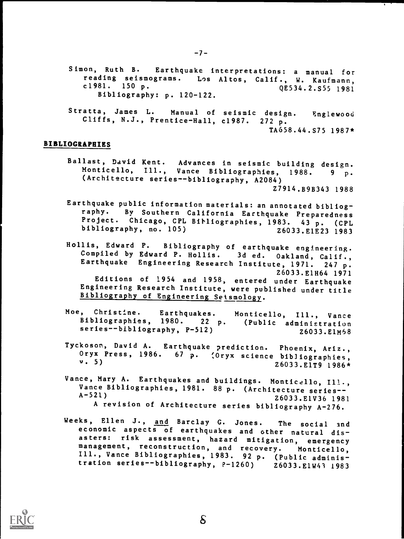- Simon, Ruth B. Earthquake interpretations: <sup>a</sup> manual for reading seismograms. Los Altos, Calif., W. Kaufmann,<br>c1981. 150 p. (1981. 1981) QE534.2.S55 1981 Bibliography: p. 120-122.
- Stratta, James L. Manual of seismic design. Englewood Cliffs, N.J., Prentice-Hall, c1987. 272 p. TA658.44.S75 1987\*

#### BIBLIOGRAPHIES

Ballast, David Kent. Advances in seismic building design. Monticello, Ill., Vance Bibliographies, 1988. 9 p. (Architecture series--bibliography, A2084)

Z7914.B9B343 1988

- Earthquake public information materials: an annotated bibliog-By Southern California Earthquake Preparedness Project. Chicago, CPL Bibliographies, 1983. 43 p. (CPL<br>bibliography, no. 105) 26033.E1E23 1983
- Hollis, Edward P. Bibliography of earthquake engineering. Compiled by Edward P. Hollis. 3d ed. Oakland, Calif., Earthquake Engineering Research Institute, 1971. 247 p. Z6033.E1H64 1971 Editions of 1954 and 1958, entered under Earthquake Engineering Research Institute, were published under title Bibliography of Engineering Seismology.
- Moe, Christine. Earthquakes. Monticello, Ill., Vance Bibliographies, 1980. <sup>22</sup> p. (Public administration series--bibliography, P-512) 26033.E1M58
- Tyckoson, David A. Earthquake prediction. Phoenix, Ariz.,<br>Oryx Press, 1986. 67 p. (Oryx science bibliographies,  $v. 5)$   $26033.E1T9 1986*$
- Vance, Mary A. Earthquakes and buildings. Monticello, Ill., Vance Bibliographies, 1981. 88 p. (Architecture series--<br>A-521) 26033.ElV36 1981  $A - 521$ )<br>26033.E1V36 1981 A revision of Architecture series bibliography A-276.
- Weeks, Ellen J., and Barclay G. Jones. The social and economic aspects of earthquakes and other natural dis-<br>asters: risk assessment, hazard mitigation, emergency management, reconstruction, and recovery. Monticello,<br>Ill., Vance Bibliographies, 1983. 92 p. (Public adminis-<br>tration series--bibliography, P-1260) 26033. ElW43 1983 tration series--bibliography, P-1260)



6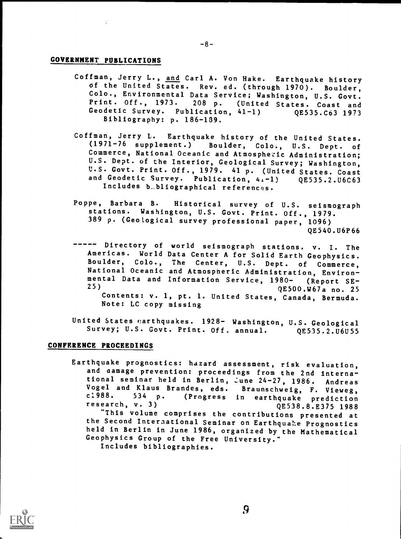# GOVERNMENT PUBLICATIONS

 $\frac{1}{2}$ 

- Coffman, Jerry L., and Carl A. Von Hake. Earthquake history Of the United States. Rev. ed. (through 1970). Boulder, Colo., Environmental Data Service; Washington, U.S. Govt.<br>Print. Off., 1973. 208 p. (United States. Coast and<br>Geodetic Survey. Publication, 41-1) (2535.C63 1973 Geodetic Survey. Publication, 41-1) Bibliography: p. 186-139.
- Coffman, Jerry L. Earthquake history of the United States.<br>(1971-76 supplement.) Boulder. Colo.. U.S. Dept. of Boulder, Colo., U.S. Dept. of Commerce, National Oceanic and Atmospheric Administration; U.S. Dept. of the Interior, Geological Survey; Washington, U.S. Govt. Print. Off., 1979. 41 p. (United States. Coast<br>and Geodetic Survey. Publication, 4.-1) QE535.2.U6C63 and Geodetic Survey. Publication,  $41-1$ ) Includes b.bliographical references.
- Poppe, Barbara B. Historical survey of U.S. seismograph stations. Washington, U.S. Govt. Print. Off., 1979. 389 p. (Geological survey professional paper, 1096) QE540.U6P66
- Directory of world seismograph stations. v. I. The -----Americas. World Data Center A for Solid Earth Geophysics. National Oceanic and Atmospheric Administration, Environmental Data and Information Service, 1980- (Report SE-25)  $QE500. W67a$  no. 25 Contents: v. 1, pt. 1. United States, Canada, Bermuda. Note: LC copy missing
- United States earthquakes. 1928- Washington, U.S. Geological<br>Survey; U.S. Govt. Print. Off. annual. QE535.2.U6U55 Survey; U.S. Govt. Print. Off. annual.

#### CONFERENCE PROCEEDINGS

Earthquake prognostics: hazard assessment, risk evaluation, and aamage prevention: proceedings from the 2nd international seminar held in Berlin, June 24-27, 1986. Andreas Vogel and Klaus Brandes, eds. Braunschweig, F. Vieweg, c1988. <sup>534</sup> p. (Progress in earthquake prediction research, v. 3)<br>"Eliministic of the contract of the QE538.8.E375 1988 "This volume comprises the contributions presented at the Second Interaational Seminar on Earthquake Prognostics held in Berlin in June 1986, organized by the Mathematical Geophysics Group of the Free University." Includes bibliographies.



9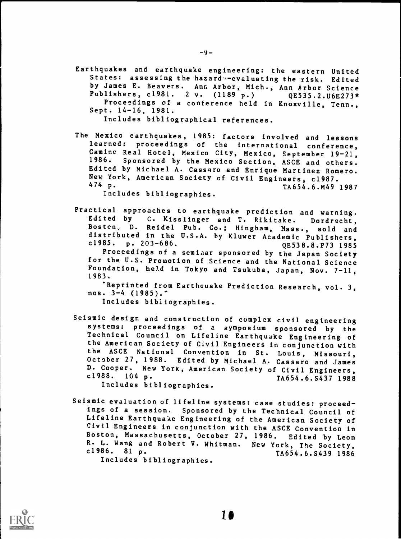Earthquakes and earthquake engineering: the eastern United States: assessing the hazard--evaluating the risk. Edited by James E. Beavers. Ann Arbor, Mich., Ann Arbor Science Publishers, c1981. 2 v. (1189 p.) QE535.2.U6E273\* Proceedings of a conference held in Knoxville, Tenn., Sept. 14-16, 1981.

Includes bibliographical references.

The Mexico earthquakes, 1985: factors involved and lessons learned: proceedings of the international conference, Camino Real Hotel, Mexico City, Mexico, September 19-21,<br>1986. Sponsored by the Mexico Section, ASCE and others. Sponsored by the Mexico Section, ASCE and others. Edited by Michael A. Cassaro and Enrique Martinez Romero. New York, American Society of Civil Engineers, c1987.<br>474 p. 74654.6.M49 474 p. TA654.6.M49 1987

Includes bibliographies.

Practical approaches to earthquake prediction and warning. Edited by C. Kisslinger and T. Rikitake. Dordrecht, Boston, D. Reidel Pub. Co.; Hingham, Mass., sold and distributed in the U.S.A. by Kluwer Academic Publishers,<br>c1985. p. 203-686. (2538.8.P73 1985 c1985. p. 203-686.<br>President of the CE538.8.P73 1985

Proceedings of a seminar sponsored by the Japan Society for the U.S. Promotion of Science and the National Science Foundation, held in Tokyo and Tsukuba, Japan, Nov. 7-11, 1983.

"Reprinted from Earthquake Prediction Research, vol. 3, nos. 3-4 (1985)."

Includes bibliographies.

Seismic design and construction of complex civil engineering systems: proceedings of <sup>a</sup> symposium sponsored by the Technical Council on Lifeline Earthquake Engineering of the American Society of Civil Engineers in conjunction with October 27, 1988. Edited by Michael A. Cassaro and James D. Cooper. New York, American Society of Civil Engineers,<br>c1988. 104 p. 74654.6.8437 1988 TA654.6.S437 1988 Includes bibliographies.

Seismic evaluation of lifeline systems: case studies: proceed- ings of a session. Sponsored by the Technical Council of Lifeline Earthquake Engineering of the American Society of Civil Engineers in conjunction with the ASCE Convention in Boston, Massachusetts, October 27, 1986. Edited by Leon R. L. Wang and Robert V. Whitman. New York, The Society, c1986. 81 p. TA654.6.5439 1986 Includes bibliographies.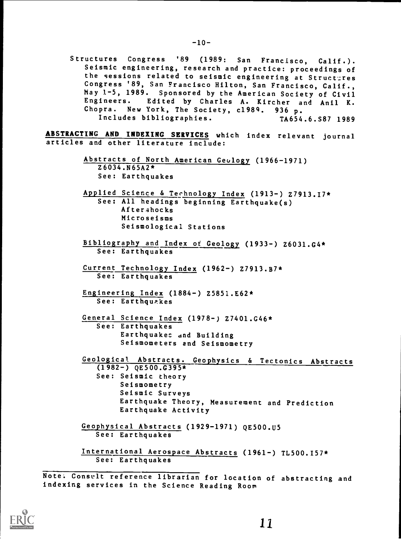Structures Congress '89 (1989: San Francisco, Calif.). Seismic engineering, research and practice: proceedings of the sessions related to seismic engineering at Structures Congress '89, San Francisco Hilton, San Francisco, Calif., May 1-5, 1989. Sponsored by the American Society of Civil Engineers. Edited by Charles A. Kircher and Anil K. Chopra. New York, The Society, c1989. 936 p.<br>Includes bibliographies. TA654.6.S87 1989 Includes bibliographies.

ABSTRACTING AND INDEXING SERVICES which index relevant journal articles and other literature include:

- Abstracts of North American Geology (1966-1971) Z6034.N65A2\* See: Earthquakes
- Applied Science & Technology Index (1913-) Z7913.I7\* See: All headings beginning Earthquake(s) Afterahocks Microseisms Seismological Stations
- Bibliography and Index of Geology (1933-) 26031.G4\* See: Earthquakes
- Current Technology Index (1962-) Z7913.B7\* See: Earthquakes
- Engineering Index (1884-) 25851.E62\* See: Earthquakes
- General Science Index (1978-) 27401.G46\* See: Earthquakes Earthquakes and Building Seismometers and Seismometry

Geological Abstracts. Geophysics & Tectonics Abstracts  $(1982-)$  QE500.G395\* See: Seismic theory Seismometry Seismic Surveys Earthquake Theory, Measurement and Prediction Earthquake Activity

Geophysical Abstracts (1929-1971) QE500.U5 See: Earthquakes

International Aerospace Abstracts (1961-) TL500.157\* See: Earthquakes

Note: Consult reference librarian for location of abstracting and indexing services in the Science Reading Room

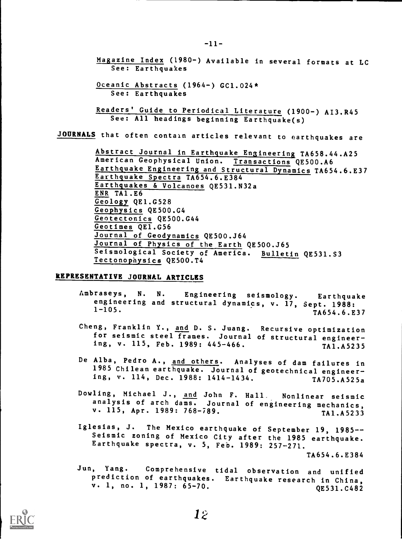Magazine Index (1980-) Available in several formats at LC See: Earthquakes

Oceanic Abstracts (1964-) GC1.024\* See: Earthquakes

Readers' Guide to Periodical Literature (1900-) AI3.R45 See: All headings beginning Earthquake(s)

JOURNALS that often contain articles relevant to earthquakes are

Abstract Journal in Earthquake Engineering TA658.44.A25 American Geophysical Union. Transactions QE500.A6 Earthquake Engineering and Structural Dynamics TA654.6.E37 Earthquake Spectra TA654.6.E384 Earthquakes & Volcanoes QE531.N32a ENR TA1.E6 Geology QE1.G528 Geophysics QE500.G4 Geotectonics QE500.G44 Geotimes QE1.G56 Journal of Geodynamics QE500.J64 Journal of Physics of the Earth QE500.J65 Seismological Society of America. Bulletin QE531.S3 Tectonopaysics QE500.T4

## REPRESENTATIVE JOURNAL ARTICLES

- Ambraseys, N. N. Engineering seismology. Earthquake engineering and structural dynamics, v. 17, Sept. 1988:  $1-105.$  TA654.6.E37
- Cheng, Franklin Y., and D. S. Juang. Recursive optimization for seismic steel frames. Journal of structural engineering, v. 115, Feb. 1989: 445-466. TA1.A5235
- De Alba, Pedro A., and others. Analyses of dam failures in 1985 Chilean earthquake. Journal of geotechnical engineering, v. 114, Dec. 1988: 1414-1434. TA705.A525a
- Dowling, Michael J., and John F. Hall. Nonlinear seismic analysis of arch dams. Journal of engineering mechanics, v. 115, Apr. 1989: 768-789. TA1.A5233
- Iglesias, J. The Mexico earthquake of September 19, 1985--<br>Seismic zoning of Mexico City after the 1985 earthquake. Earthquake spectra, v. 5, Feb. 1989: 257-271.

TA654.6.E384

Jun, Yang. Comprehensive tidal observation and unified prediction of earthquakes. Earthquake research in China, v. 1, no. 1, 1987: 65-70. QE531.C482

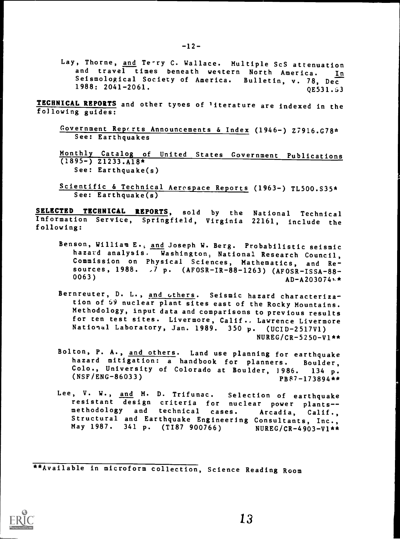Lay, Thorne, and Te-ry C. Wallace. Multiple ScS attenuation and travel times beneath western North America. In Seismological Society of America. Bulletin, v. 78, Dec<br>1988: 2041-2061. 0E531.53  $1988: 2041 - 2061.$ 

TECHNICAL REPORTS and other types of literature are indexed in the following guides:

- Government Reports Announcements & Index (1946-) Z7916.G78\* See: Earthquakes
- Monthly Catalog of United States Government Publications  $(1895-)$   $21233.$ A18\* See: Earthquake(s)
- Scientific & Technical Aerospace Reports (1963-) TL500.S35\* See: Earthquake(s)

SELECTED TECHNICAL REPORTS, sold by the National Technical Information Service, Springfield, Virginia 22161, include the following:

- Benson, William E., and Joseph W. Berg. Probabilistic seismic hazard analysis. Washington, National Research Council, Commission on Physical Sciences, Mathematics, and Resources, 1988. -7 p. (AFOSR-IR-88-1263) (AFOSR-ISSA-88- 0063)  $AD-A203074A$
- Bernreuter, D. L., and others. Seismic hazard characterization of 59 nuclear plant sites east of the Rocky Mountains. Methodology, input data and comparisons to previous results for ten test sites. Livermore, Calif., Lawrence Livermore National Laboratory, Jan. 1989. 350 p. (UCID-2517V1) NUREG/CR-5250-V1\*\*
- Bolton, P. A., and others. Land use planning for earthquake hazard mitigation: <sup>a</sup> handbook for planners. Boulder, Colo., University of Colorado at Boulder, 1986. 134 p.<br>(NSF/ENG-86033) prg7-17380/\*\*  $PB87-173894**$
- Lee, V. W., and M. D. Trifunac. Selection of earthquake resistant design criteria for nuclear power plants--<br>methodology and technical cases. Arcadia, Calif., Structural and Earthquake Engineering Consultants, Inc., May 1987. 341 p. (TI87 900766) NUREG/CR-4903-V1\*\*

\*\*Available in microform collection, Science Reading Room

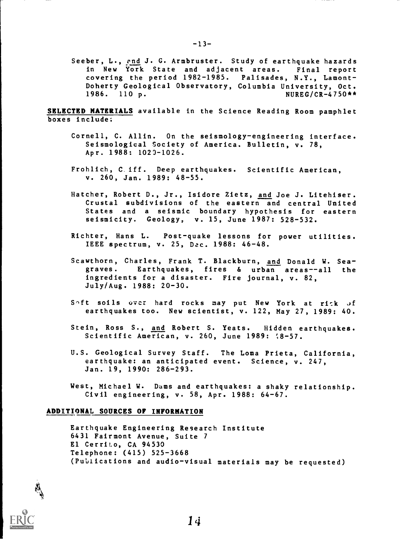Seeber, L., end J. G. Armbruster. Study of earthquake hazards in New York State and adjacent areas. Final report covering the period 1982-1985. Palisades, N.Y., Lamont-Doherty Geological Observatory, Columbia University, Oct.<br>1986. 110 p.  $NUREG/CR-4750**$ 

SELECTED MATERIALS available in the Science Reading Room pamphlet boxes include;

- Cornell, C. Allin. On the seismology-engineering interface. Seismological Society of America. Bulletin, v. 78, Apr. 1988: 1023-1026.
- Frohlich, C iff. Deep earthquakes. Scientific American, v. 260, Jan. 1989: 48-55.
- Hatcher, Robert D., Jr., Isidore Zietz, and Joe J. Litehiser. Crustal subdivisions of the eastern and central United States and <sup>a</sup> seismic boundary hypothesis for eastern seismicity. Geology, v. 15, June 1987: 528-532.
- Richter, Hans L. Post-quake lessons for power utilities. IEEE spectrum, v. 25, Dec. 1988: 46-48.
- Scawthorn, Charles, Frank T. Blackburn, and Donald W. Seagraves. Earthquakes, fires & urban areas--all the ingredients for a disaster. Fire journal, v. 82, July/Aug. 1988: 20-30.
- Soft soils over hard rocks may put New York at rick of earthquakes too. New scientist, v. 122, May 27, 1989: 40.
- Stein, Ross S., and Robert S. Yeats. Hidden earthquakes. Scientific American, v. 260, June 1989: (8-57.
- U.S. Geological Survey Staff. The Loma Prieta, California, earthquake: an anticipated event. Science, v. 247, Jan. 19, 1990: 286-293.
- West, Michael W. Dams and earthquakes: a shaky relationship. Civil engineering, v. 58, Apr. 1988: 64-67.

#### ADDITIONAL SOURCES OF INFORMATION

Earthquake Engineering Research Institute 6431 Fairmont Avenue, Suite <sup>7</sup> El Cerrito, CA 94530 Telephone: (415) 525-3668 (Publications and audio-visual materials may be requested)